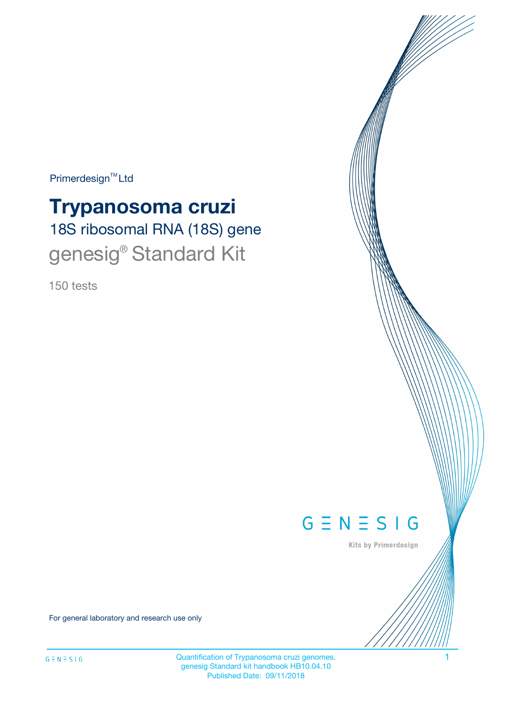$Primerdesign^{\text{TM}}Ltd$ 

# 18S ribosomal RNA (18S) gene **Trypanosoma cruzi** genesig<sup>®</sup> Standard Kit

150 tests



Kits by Primerdesign

For general laboratory and research use only

Quantification of Trypanosoma cruzi genomes. 4 genesig Standard kit handbook HB10.04.10 Published Date: 09/11/2018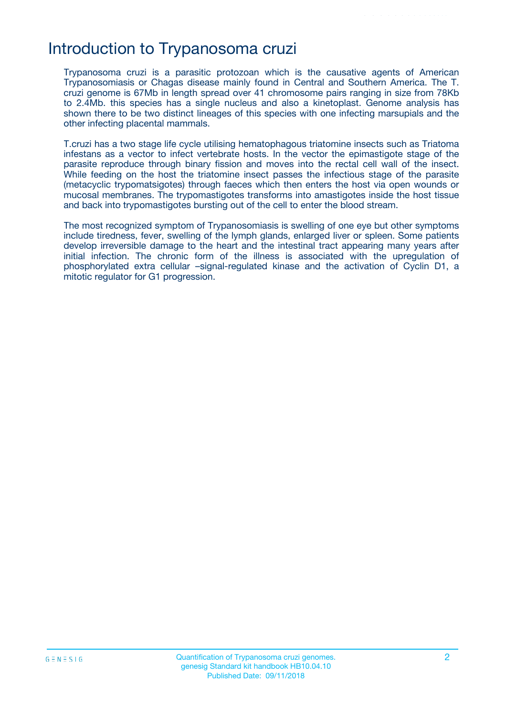## Introduction to Trypanosoma cruzi

Trypanosoma cruzi is a parasitic protozoan which is the causative agents of American Trypanosomiasis or Chagas disease mainly found in Central and Southern America. The T. cruzi genome is 67Mb in length spread over 41 chromosome pairs ranging in size from 78Kb to 2.4Mb. this species has a single nucleus and also a kinetoplast. Genome analysis has shown there to be two distinct lineages of this species with one infecting marsupials and the other infecting placental mammals.

T.cruzi has a two stage life cycle utilising hematophagous triatomine insects such as Triatoma infestans as a vector to infect vertebrate hosts. In the vector the epimastigote stage of the parasite reproduce through binary fission and moves into the rectal cell wall of the insect. While feeding on the host the triatomine insect passes the infectious stage of the parasite (metacyclic trypomatsigotes) through faeces which then enters the host via open wounds or mucosal membranes. The trypomastigotes transforms into amastigotes inside the host tissue and back into trypomastigotes bursting out of the cell to enter the blood stream.

The most recognized symptom of Trypanosomiasis is swelling of one eye but other symptoms include tiredness, fever, swelling of the lymph glands, enlarged liver or spleen. Some patients develop irreversible damage to the heart and the intestinal tract appearing many years after initial infection. The chronic form of the illness is associated with the upregulation of phosphorylated extra cellular –signal-regulated kinase and the activation of Cyclin D1, a mitotic regulator for G1 progression.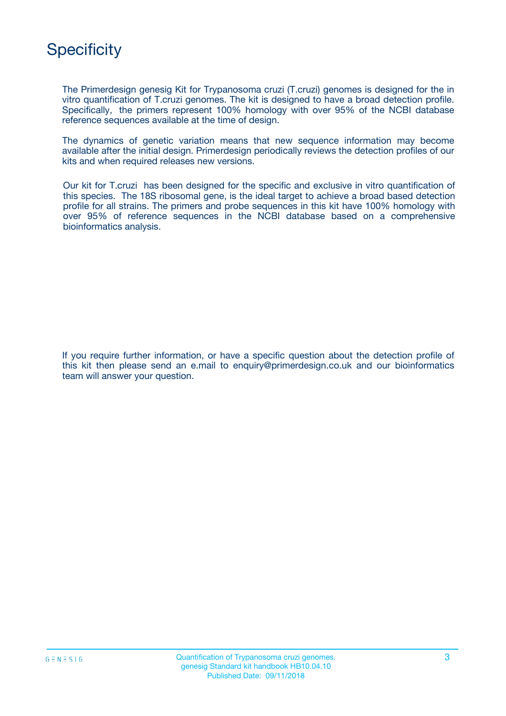## **Specificity**

The Primerdesign genesig Kit for Trypanosoma cruzi (T.cruzi) genomes is designed for the in vitro quantification of T.cruzi genomes. The kit is designed to have a broad detection profile. Specifically, the primers represent 100% homology with over 95% of the NCBI database reference sequences available at the time of design.

The dynamics of genetic variation means that new sequence information may become available after the initial design. Primerdesign periodically reviews the detection profiles of our kits and when required releases new versions.

Our kit for T.cruzi has been designed for the specific and exclusive in vitro quantification of this species. The 18S ribosomal gene, is the ideal target to achieve a broad based detection profile for all strains. The primers and probe sequences in this kit have 100% homology with over 95% of reference sequences in the NCBI database based on a comprehensive bioinformatics analysis.

If you require further information, or have a specific question about the detection profile of this kit then please send an e.mail to enquiry@primerdesign.co.uk and our bioinformatics team will answer your question.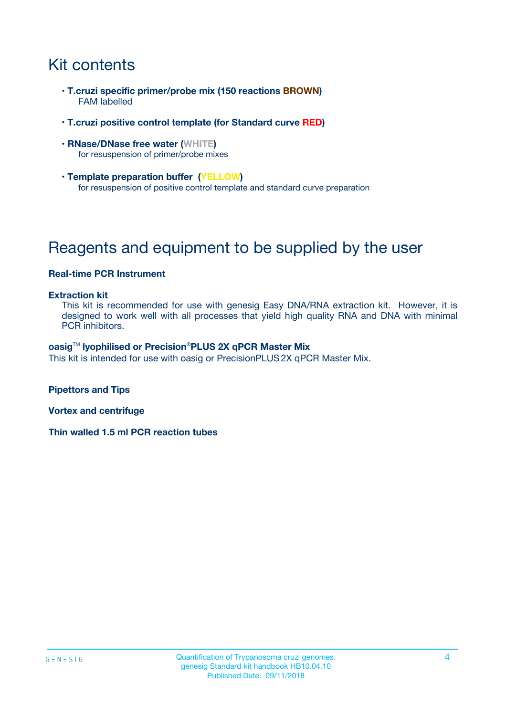## Kit contents

- **T.cruzi specific primer/probe mix (150 reactions BROWN)** FAM labelled
- **T.cruzi positive control template (for Standard curve RED)**
- **RNase/DNase free water (WHITE)** for resuspension of primer/probe mixes
- **Template preparation buffer (YELLOW)** for resuspension of positive control template and standard curve preparation

## Reagents and equipment to be supplied by the user

#### **Real-time PCR Instrument**

#### **Extraction kit**

This kit is recommended for use with genesig Easy DNA/RNA extraction kit. However, it is designed to work well with all processes that yield high quality RNA and DNA with minimal PCR inhibitors.

#### **oasig**TM **lyophilised or Precision**®**PLUS 2X qPCR Master Mix**

This kit is intended for use with oasig or PrecisionPLUS2X qPCR Master Mix.

**Pipettors and Tips**

**Vortex and centrifuge**

**Thin walled 1.5 ml PCR reaction tubes**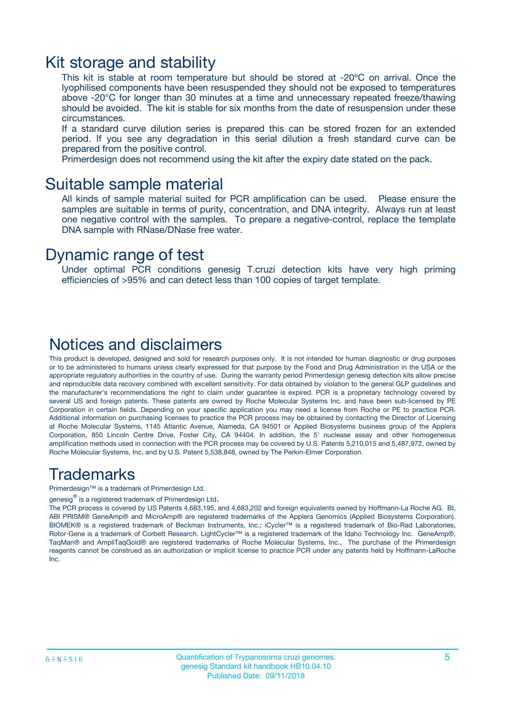### Kit storage and stability

This kit is stable at room temperature but should be stored at -20ºC on arrival. Once the lyophilised components have been resuspended they should not be exposed to temperatures above -20°C for longer than 30 minutes at a time and unnecessary repeated freeze/thawing should be avoided. The kit is stable for six months from the date of resuspension under these circumstances.

If a standard curve dilution series is prepared this can be stored frozen for an extended period. If you see any degradation in this serial dilution a fresh standard curve can be prepared from the positive control.

Primerdesign does not recommend using the kit after the expiry date stated on the pack.

### Suitable sample material

All kinds of sample material suited for PCR amplification can be used. Please ensure the samples are suitable in terms of purity, concentration, and DNA integrity. Always run at least one negative control with the samples. To prepare a negative-control, replace the template DNA sample with RNase/DNase free water.

### Dynamic range of test

Under optimal PCR conditions genesig T.cruzi detection kits have very high priming efficiencies of >95% and can detect less than 100 copies of target template.

### Notices and disclaimers

This product is developed, designed and sold for research purposes only. It is not intended for human diagnostic or drug purposes or to be administered to humans unless clearly expressed for that purpose by the Food and Drug Administration in the USA or the appropriate regulatory authorities in the country of use. During the warranty period Primerdesign genesig detection kits allow precise and reproducible data recovery combined with excellent sensitivity. For data obtained by violation to the general GLP guidelines and the manufacturer's recommendations the right to claim under guarantee is expired. PCR is a proprietary technology covered by several US and foreign patents. These patents are owned by Roche Molecular Systems Inc. and have been sub-licensed by PE Corporation in certain fields. Depending on your specific application you may need a license from Roche or PE to practice PCR. Additional information on purchasing licenses to practice the PCR process may be obtained by contacting the Director of Licensing at Roche Molecular Systems, 1145 Atlantic Avenue, Alameda, CA 94501 or Applied Biosystems business group of the Applera Corporation, 850 Lincoln Centre Drive, Foster City, CA 94404. In addition, the 5' nuclease assay and other homogeneous amplification methods used in connection with the PCR process may be covered by U.S. Patents 5,210,015 and 5,487,972, owned by Roche Molecular Systems, Inc, and by U.S. Patent 5,538,848, owned by The Perkin-Elmer Corporation.

### Trademarks

Primerdesign™ is a trademark of Primerdesign Ltd.

genesig $^\circledR$  is a registered trademark of Primerdesign Ltd.

The PCR process is covered by US Patents 4,683,195, and 4,683,202 and foreign equivalents owned by Hoffmann-La Roche AG. BI, ABI PRISM® GeneAmp® and MicroAmp® are registered trademarks of the Applera Genomics (Applied Biosystems Corporation). BIOMEK® is a registered trademark of Beckman Instruments, Inc.; iCycler™ is a registered trademark of Bio-Rad Laboratories, Rotor-Gene is a trademark of Corbett Research. LightCycler™ is a registered trademark of the Idaho Technology Inc. GeneAmp®, TaqMan® and AmpliTaqGold® are registered trademarks of Roche Molecular Systems, Inc., The purchase of the Primerdesign reagents cannot be construed as an authorization or implicit license to practice PCR under any patents held by Hoffmann-LaRoche Inc.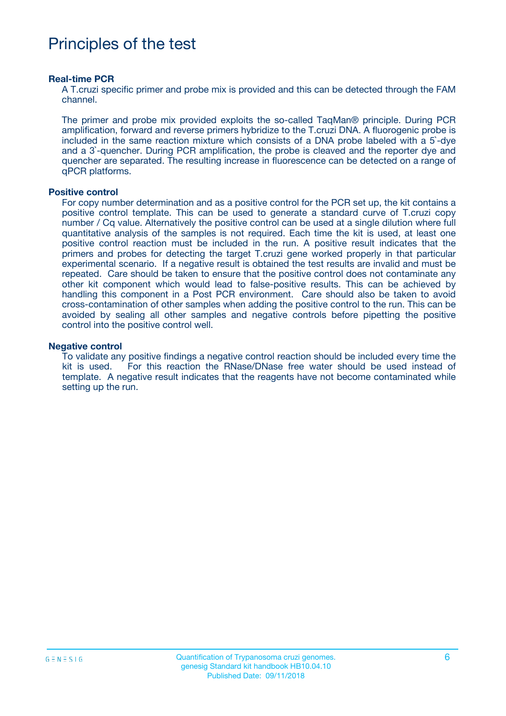## Principles of the test

#### **Real-time PCR**

A T.cruzi specific primer and probe mix is provided and this can be detected through the FAM channel.

The primer and probe mix provided exploits the so-called TaqMan® principle. During PCR amplification, forward and reverse primers hybridize to the T.cruzi DNA. A fluorogenic probe is included in the same reaction mixture which consists of a DNA probe labeled with a 5`-dye and a 3`-quencher. During PCR amplification, the probe is cleaved and the reporter dye and quencher are separated. The resulting increase in fluorescence can be detected on a range of qPCR platforms.

#### **Positive control**

For copy number determination and as a positive control for the PCR set up, the kit contains a positive control template. This can be used to generate a standard curve of T.cruzi copy number / Cq value. Alternatively the positive control can be used at a single dilution where full quantitative analysis of the samples is not required. Each time the kit is used, at least one positive control reaction must be included in the run. A positive result indicates that the primers and probes for detecting the target T.cruzi gene worked properly in that particular experimental scenario. If a negative result is obtained the test results are invalid and must be repeated. Care should be taken to ensure that the positive control does not contaminate any other kit component which would lead to false-positive results. This can be achieved by handling this component in a Post PCR environment. Care should also be taken to avoid cross-contamination of other samples when adding the positive control to the run. This can be avoided by sealing all other samples and negative controls before pipetting the positive control into the positive control well.

#### **Negative control**

To validate any positive findings a negative control reaction should be included every time the kit is used. For this reaction the RNase/DNase free water should be used instead of template. A negative result indicates that the reagents have not become contaminated while setting up the run.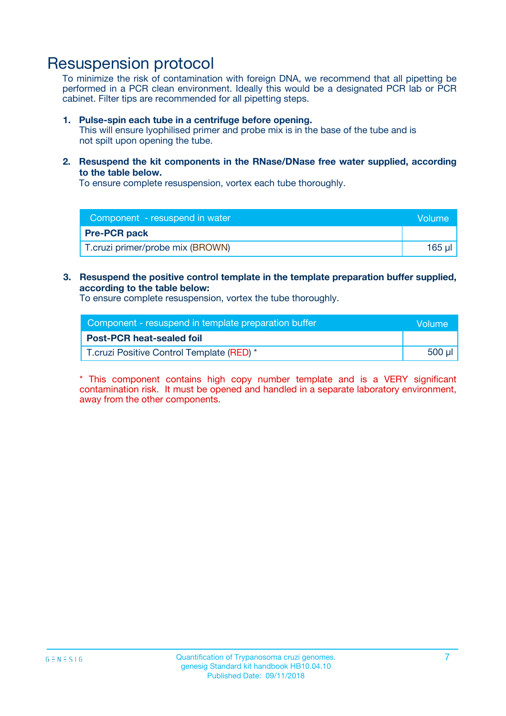### Resuspension protocol

To minimize the risk of contamination with foreign DNA, we recommend that all pipetting be performed in a PCR clean environment. Ideally this would be a designated PCR lab or PCR cabinet. Filter tips are recommended for all pipetting steps.

#### **1. Pulse-spin each tube in a centrifuge before opening.**

This will ensure lyophilised primer and probe mix is in the base of the tube and is not spilt upon opening the tube.

**2. Resuspend the kit components in the RNase/DNase free water supplied, according to the table below.**

To ensure complete resuspension, vortex each tube thoroughly.

| Component - resuspend in water<br><b>Volume</b> |        |
|-------------------------------------------------|--------|
| <b>Pre-PCR pack</b>                             |        |
| T.cruzi primer/probe mix (BROWN)                | 165 µl |

#### **3. Resuspend the positive control template in the template preparation buffer supplied, according to the table below:**

To ensure complete resuspension, vortex the tube thoroughly.

| Component - resuspend in template preparation buffer |        |  |
|------------------------------------------------------|--------|--|
| <b>Post-PCR heat-sealed foil</b>                     |        |  |
| T.cruzi Positive Control Template (RED) *            | 500 µl |  |

\* This component contains high copy number template and is a VERY significant contamination risk. It must be opened and handled in a separate laboratory environment, away from the other components.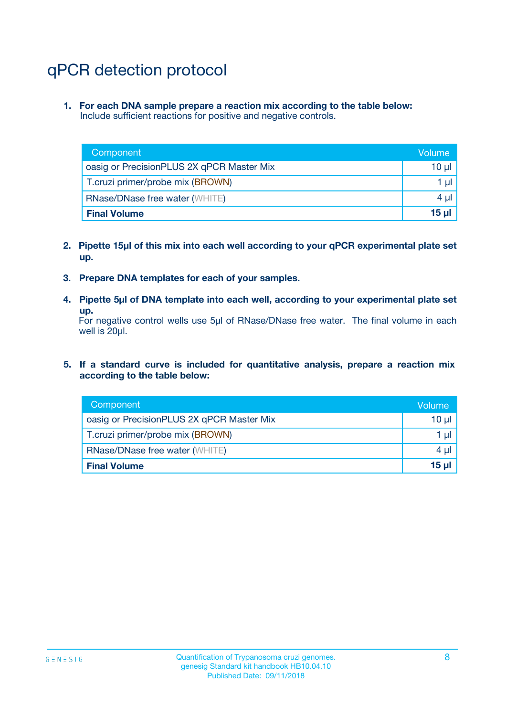## qPCR detection protocol

**1. For each DNA sample prepare a reaction mix according to the table below:** Include sufficient reactions for positive and negative controls.

| Component                                 | Volume           |
|-------------------------------------------|------------------|
| oasig or PrecisionPLUS 2X qPCR Master Mix | 10 $\mu$         |
| T.cruzi primer/probe mix (BROWN)          | 1 $\mu$          |
| <b>RNase/DNase free water (WHITE)</b>     | $4 \mu$          |
| <b>Final Volume</b>                       | 15 <sub>ul</sub> |

- **2. Pipette 15µl of this mix into each well according to your qPCR experimental plate set up.**
- **3. Prepare DNA templates for each of your samples.**
- **4. Pipette 5µl of DNA template into each well, according to your experimental plate set up.**

For negative control wells use 5µl of RNase/DNase free water. The final volume in each well is 20µl.

**5. If a standard curve is included for quantitative analysis, prepare a reaction mix according to the table below:**

| Component                                 | Volume          |
|-------------------------------------------|-----------------|
| oasig or PrecisionPLUS 2X qPCR Master Mix | 10 µl           |
| T.cruzi primer/probe mix (BROWN)          | 1 µI            |
| <b>RNase/DNase free water (WHITE)</b>     | $4 \mu$         |
| <b>Final Volume</b>                       | 15 <sub>µ</sub> |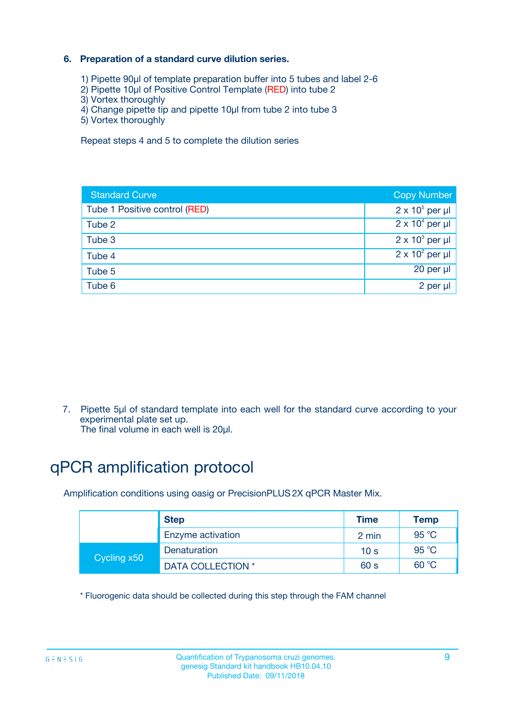### **6. Preparation of a standard curve dilution series.**

- 1) Pipette 90µl of template preparation buffer into 5 tubes and label 2-6
- 2) Pipette 10µl of Positive Control Template (RED) into tube 2
- 3) Vortex thoroughly
- 4) Change pipette tip and pipette 10µl from tube 2 into tube 3
- 5) Vortex thoroughly

Repeat steps 4 and 5 to complete the dilution series

| <b>Standard Curve</b>         | <b>Copy Number</b>     |
|-------------------------------|------------------------|
| Tube 1 Positive control (RED) | $2 \times 10^5$ per µl |
| Tube 2                        | $2 \times 10^4$ per µl |
| Tube 3                        | $2 \times 10^3$ per µl |
| Tube 4                        | $2 \times 10^2$ per µl |
| Tube 5                        | 20 per µl              |
| Tube 6                        | 2 per ul               |

7. Pipette 5µl of standard template into each well for the standard curve according to your experimental plate set up.

The final volume in each well is 20µl.

## qPCR amplification protocol

Amplification conditions using oasig or PrecisionPLUS2X qPCR Master Mix.

|             | <b>Step</b>       | <b>Time</b>     | Temp    |
|-------------|-------------------|-----------------|---------|
|             | Enzyme activation | 2 min           | 95 °C   |
| Cycling x50 | Denaturation      | 10 <sub>s</sub> | 95 $°C$ |
|             | DATA COLLECTION * | 60 s            | 60 °C   |

\* Fluorogenic data should be collected during this step through the FAM channel